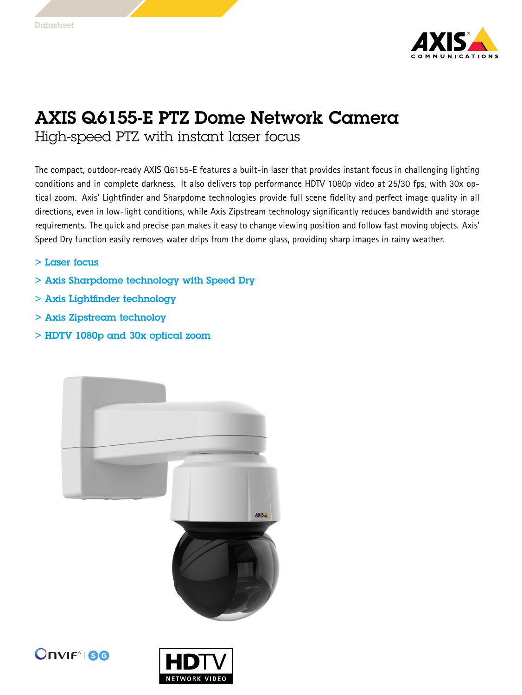

## AXIS Q6155-E PTZ Dome Network Camera

High-speed PTZ with instant laser focus

The compact, outdoor-ready AXIS Q6155-E features <sup>a</sup> built-in laser that provides instant focus in challenging lighting conditions and in complete darkness. It also delivers top performance HDTV 1080p video at 25/30 fps, with 30x optical zoom. Axis' Lightfinder and Sharpdome technologies provide full scene fidelity and perfect image quality in all directions, even in low-light conditions, while Axis Zipstream technology significantly reduces bandwidth and storage requirements. The quick and precise pan makes it easy to change viewing position and follow fast moving objects. Axis' Speed Dry function easily removes water drips from the dome glass, providing sharp images in rainy weather.

- > Laser focus
- > Axis Sharpdome technology with Speed Dry
- > Axis Lightfinder technology
- > Axis Zipstream technoloy
- > HDTV 1080p and 30x optical zoom